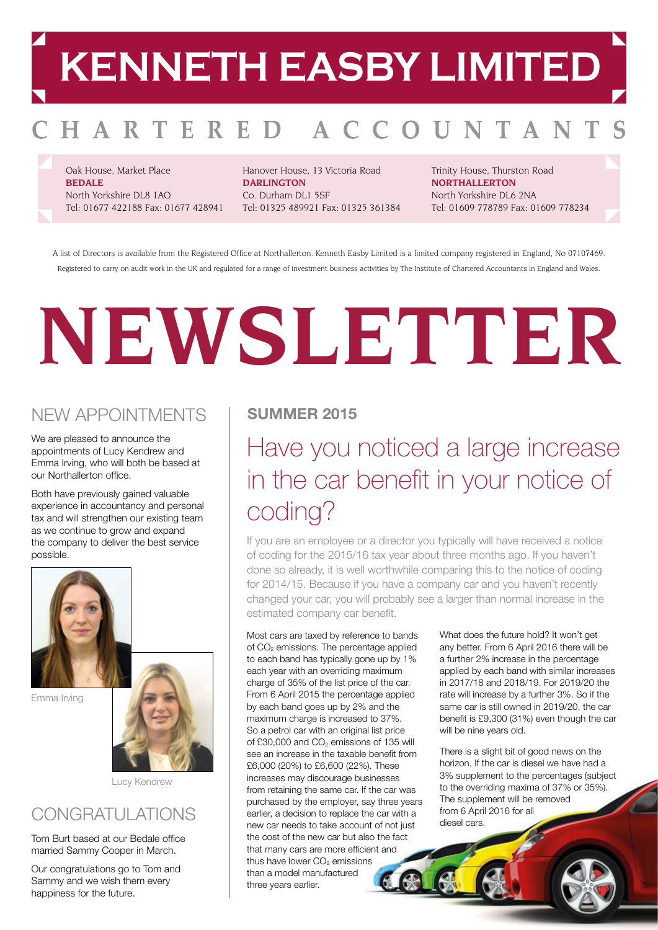## **KENNETH EASBY LIMITED**

#### HARTERED A C OUNTANT

Oak House, Market Place **BEDALE** North Yorkshire DL8 1AQ Tel: 01677 422188 Fax: 01677 428941 Hanover House, 13 Victoria Road **DARLINGTON** Co. Durham DL1 5SF Tel: 01325 489921 Fax: 01325 361384 Trinity House, Thurston Road **NORTHALLERTON** North Yorkshire DL6 2NA Tel: 01609 778789 Fax: 01609 778234

A list of Directors is available from the Registered Office at Northallerton. Kenneth Easby Limited is a limited company registered in England, No 07107469. Registered to carry on audit work in the UK and regulated for a range of investment business activities by The Institute of Chartered Accountants in England and Wales.

# **NEWSLETTER**

#### NEW APPOINTMENTS

We are pleased to announce the appointments of Lucy Kendrew and Emma Irving, who will both be based at our Northallerton office.

Both have previously gained valuable experience in accountancy and personal tax and will strengthen our existing team as we continue to grow and expand the company to deliver the best service possible.



Emma Irving



Lucy Kendrew

#### CONGRATULATIONS

Tom Burt based at our Bedale office married Sammy Cooper in March.

Our congratulations go to Tom and Sammy and we wish them every happiness for the future.

#### **SUMMER 2015**

## Have you noticed a large increase in the car benefit in your notice of coding?

If you are an employee or a director you typically will have received a notice of coding for the 2015/16 tax year about three months ago. If you haven't done so already, it is well worthwhile comparing this to the notice of coding for 2014/15. Because if you have a company car and you haven't recently changed your car, you will probably see a larger than normal increase in the estimated company car benefit.

Most cars are taxed by reference to bands of CO<sub>2</sub> emissions. The percentage applied to each band has typically gone up by 1% each year with an overriding maximum charge of 35% of the list price of the car. From 6 April 2015 the percentage applied by each band goes up by 2% and the maximum charge is increased to 37%. So a petrol car with an original list price of £30,000 and  $CO<sub>2</sub>$  emissions of 135 will see an increase in the taxable benefit from £6,000 (20%) to £6,600 (22%). These increases may discourage businesses from retaining the same car. If the car was purchased by the employer, say three years earlier, a decision to replace the car with a new car needs to take account of not just the cost of the new car but also the fact that many cars are more efficient and thus have lower  $CO<sub>2</sub>$  emissions than a model manufactured three years earlier.

What does the future hold? It won't get any better. From 6 April 2016 there will be a further 2% increase in the percentage applied by each band with similar increases in 2017/18 and 2018/19. For 2019/20 the rate will increase by a further 3%. So if the same car is still owned in 2019/20, the car benefit is £9,300 (31%) even though the car will be nine years old.

There is a slight bit of good news on the horizon. If the car is diesel we have had a 3% supplement to the percentages (subject to the overriding maxima of 37% or 35%). The supplement will be removed from 6 April 2016 for all diesel cars.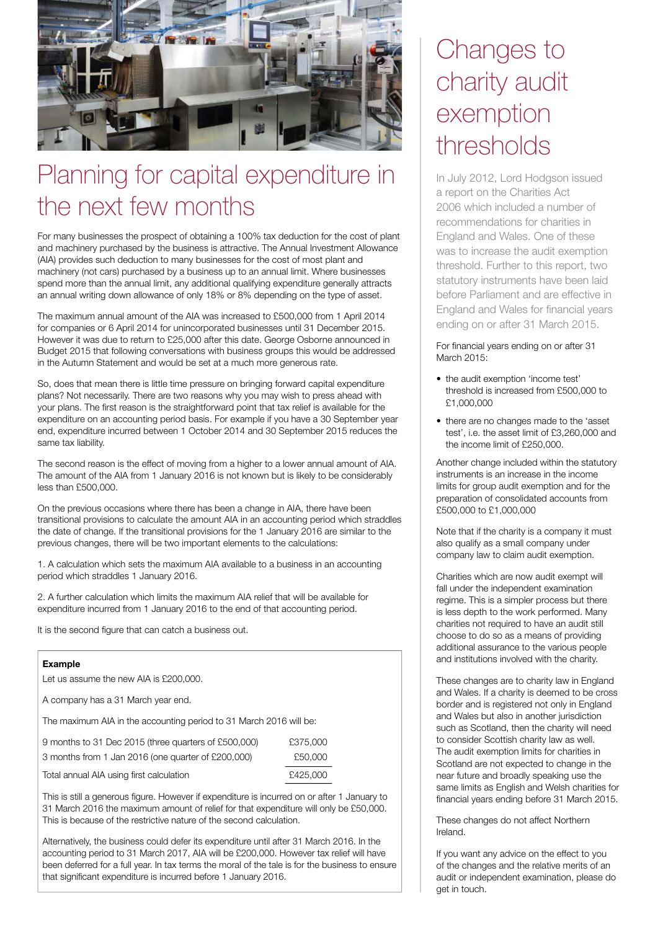

## Planning for capital expenditure in the next few months

For many businesses the prospect of obtaining a 100% tax deduction for the cost of plant and machinery purchased by the business is attractive. The Annual Investment Allowance (AIA) provides such deduction to many businesses for the cost of most plant and machinery (not cars) purchased by a business up to an annual limit. Where businesses spend more than the annual limit, any additional qualifying expenditure generally attracts an annual writing down allowance of only 18% or 8% depending on the type of asset.

The maximum annual amount of the AIA was increased to £500,000 from 1 April 2014 for companies or 6 April 2014 for unincorporated businesses until 31 December 2015. However it was due to return to £25,000 after this date. George Osborne announced in Budget 2015 that following conversations with business groups this would be addressed in the Autumn Statement and would be set at a much more generous rate.

So, does that mean there is little time pressure on bringing forward capital expenditure plans? Not necessarily. There are two reasons why you may wish to press ahead with your plans. The first reason is the straightforward point that tax relief is available for the expenditure on an accounting period basis. For example if you have a 30 September year end, expenditure incurred between 1 October 2014 and 30 September 2015 reduces the same tax liability.

The second reason is the effect of moving from a higher to a lower annual amount of AIA. The amount of the AIA from 1 January 2016 is not known but is likely to be considerably less than £500,000.

On the previous occasions where there has been a change in AIA, there have been transitional provisions to calculate the amount AIA in an accounting period which straddles the date of change. If the transitional provisions for the 1 January 2016 are similar to the previous changes, there will be two important elements to the calculations:

1. A calculation which sets the maximum AIA available to a business in an accounting period which straddles 1 January 2016.

2. A further calculation which limits the maximum AIA relief that will be available for expenditure incurred from 1 January 2016 to the end of that accounting period.

It is the second figure that can catch a business out.

#### **Example**

Let us assume the new AIA is £200,000.

A company has a 31 March year end.

The maximum AIA in the accounting period to 31 March 2016 will be:

| 9 months to 31 Dec 2015 (three quarters of £500,000) | £375,000 |
|------------------------------------------------------|----------|
| 3 months from 1 Jan 2016 (one quarter of £200,000)   | £50,000  |
| Total annual AIA using first calculation             | £425,000 |

This is still a generous figure. However if expenditure is incurred on or after 1 January to 31 March 2016 the maximum amount of relief for that expenditure will only be £50,000. This is because of the restrictive nature of the second calculation.

Alternatively, the business could defer its expenditure until after 31 March 2016. In the accounting period to 31 March 2017, AIA will be £200,000. However tax relief will have been deferred for a full year. In tax terms the moral of the tale is for the business to ensure that significant expenditure is incurred before 1 January 2016.

## Changes to charity audit exemption thresholds

In July 2012, Lord Hodgson issued a report on the Charities Act 2006 which included a number of recommendations for charities in England and Wales. One of these was to increase the audit exemption threshold. Further to this report, two statutory instruments have been laid before Parliament and are effective in England and Wales for financial years ending on or after 31 March 2015.

For financial years ending on or after 31 March 2015:

- the audit exemption 'income test' threshold is increased from £500,000 to £1,000,000
- there are no changes made to the 'asset test', i.e. the asset limit of £3,260,000 and the income limit of £250,000.

Another change included within the statutory instruments is an increase in the income limits for group audit exemption and for the preparation of consolidated accounts from £500,000 to £1,000,000

Note that if the charity is a company it must also qualify as a small company under company law to claim audit exemption.

Charities which are now audit exempt will fall under the independent examination regime. This is a simpler process but there is less depth to the work performed. Many charities not required to have an audit still choose to do so as a means of providing additional assurance to the various people and institutions involved with the charity.

These changes are to charity law in England and Wales. If a charity is deemed to be cross border and is registered not only in England and Wales but also in another jurisdiction such as Scotland, then the charity will need to consider Scottish charity law as well. The audit exemption limits for charities in Scotland are not expected to change in the near future and broadly speaking use the same limits as English and Welsh charities for financial years ending before 31 March 2015.

These changes do not affect Northern Ireland.

If you want any advice on the effect to you of the changes and the relative merits of an audit or independent examination, please do get in touch.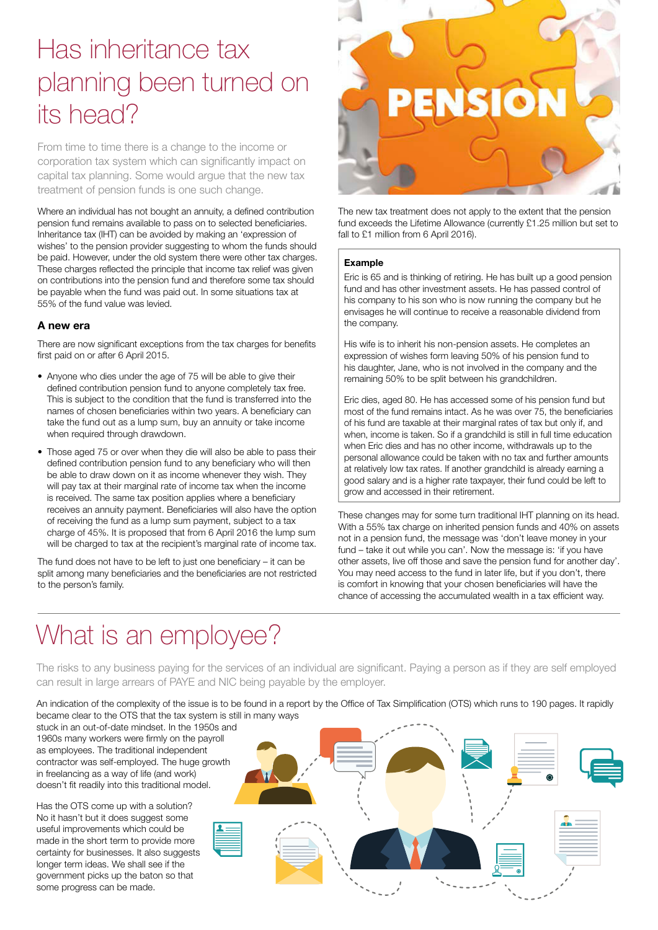## Has inheritance tax planning been turned on its head?

From time to time there is a change to the income or corporation tax system which can significantly impact on capital tax planning. Some would argue that the new tax treatment of pension funds is one such change.

Where an individual has not bought an annuity, a defined contribution pension fund remains available to pass on to selected beneficiaries. Inheritance tax (IHT) can be avoided by making an 'expression of wishes' to the pension provider suggesting to whom the funds should be paid. However, under the old system there were other tax charges. These charges reflected the principle that income tax relief was given on contributions into the pension fund and therefore some tax should be payable when the fund was paid out. In some situations tax at 55% of the fund value was levied.

#### **A new era**

There are now significant exceptions from the tax charges for benefits first paid on or after 6 April 2015.

- Anyone who dies under the age of 75 will be able to give their defined contribution pension fund to anyone completely tax free. This is subject to the condition that the fund is transferred into the names of chosen beneficiaries within two years. A beneficiary can take the fund out as a lump sum, buy an annuity or take income when required through drawdown.
- Those aged 75 or over when they die will also be able to pass their defined contribution pension fund to any beneficiary who will then be able to draw down on it as income whenever they wish. They will pay tax at their marginal rate of income tax when the income is received. The same tax position applies where a beneficiary receives an annuity payment. Beneficiaries will also have the option of receiving the fund as a lump sum payment, subject to a tax charge of 45%. It is proposed that from 6 April 2016 the lump sum will be charged to tax at the recipient's marginal rate of income tax.

The fund does not have to be left to just one beneficiary – it can be split among many beneficiaries and the beneficiaries are not restricted to the person's family.



The new tax treatment does not apply to the extent that the pension fund exceeds the Lifetime Allowance (currently £1.25 million but set to fall to £1 million from 6 April 2016).

#### **Example**

Eric is 65 and is thinking of retiring. He has built up a good pension fund and has other investment assets. He has passed control of his company to his son who is now running the company but he envisages he will continue to receive a reasonable dividend from the company.

His wife is to inherit his non-pension assets. He completes an expression of wishes form leaving 50% of his pension fund to his daughter, Jane, who is not involved in the company and the remaining 50% to be split between his grandchildren.

Eric dies, aged 80. He has accessed some of his pension fund but most of the fund remains intact. As he was over 75, the beneficiaries of his fund are taxable at their marginal rates of tax but only if, and when, income is taken. So if a grandchild is still in full time education when Eric dies and has no other income, withdrawals up to the personal allowance could be taken with no tax and further amounts at relatively low tax rates. If another grandchild is already earning a good salary and is a higher rate taxpayer, their fund could be left to grow and accessed in their retirement.

These changes may for some turn traditional IHT planning on its head. With a 55% tax charge on inherited pension funds and 40% on assets not in a pension fund, the message was 'don't leave money in your fund – take it out while you can'. Now the message is: 'if you have other assets, live off those and save the pension fund for another day'. You may need access to the fund in later life, but if you don't, there is comfort in knowing that your chosen beneficiaries will have the chance of accessing the accumulated wealth in a tax efficient way.

## What is an employee?

The risks to any business paying for the services of an individual are significant. Paying a person as if they are self employed can result in large arrears of PAYE and NIC being payable by the employer.

An indication of the complexity of the issue is to be found in a report by the Office of Tax Simplification (OTS) which runs to 190 pages. It rapidly became clear to the OTS that the tax system is still in many ways

stuck in an out-of-date mindset. In the 1950s and 1960s many workers were firmly on the payroll as employees. The traditional independent contractor was self-employed. The huge growth in freelancing as a way of life (and work) doesn't fit readily into this traditional model.

Has the OTS come up with a solution? No it hasn't but it does suggest some useful improvements which could be made in the short term to provide more certainty for businesses. It also suggests longer term ideas. We shall see if the government picks up the baton so that some progress can be made.